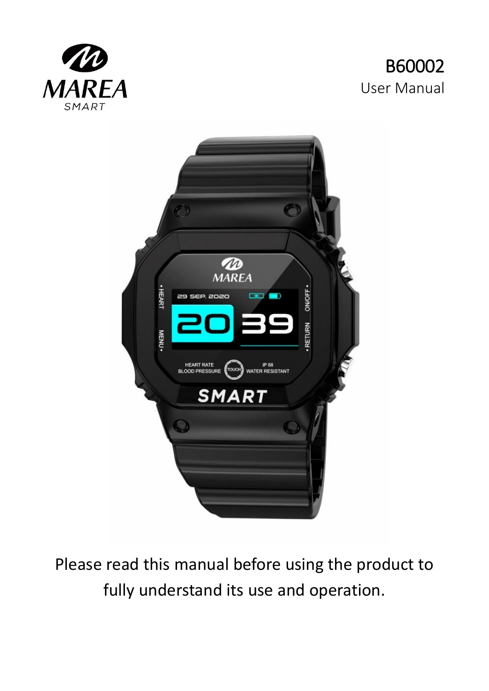





Please read this manual before using the product to fully understand its use and operation.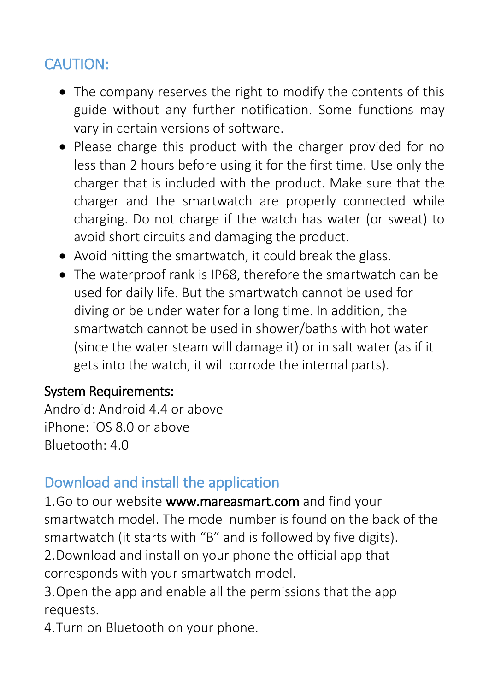# CAUTION:

- The company reserves the right to modify the contents of this guide without any further notification. Some functions may vary in certain versions of software.
- Please charge this product with the charger provided for no less than 2 hours before using it for the first time. Use only the charger that is included with the product. Make sure that the charger and the smartwatch are properly connected while charging. Do not charge if the watch has water (or sweat) to avoid short circuits and damaging the product.
- Avoid hitting the smartwatch, it could break the glass.
- The waterproof rank is IP68, therefore the smartwatch can be used for daily life. But the smartwatch cannot be used for diving or be under water for a long time. In addition, the smartwatch cannot be used in shower/baths with hot water (since the water steam will damage it) or in salt water (as if it gets into the watch, it will corrode the internal parts).

### System Requirements:

Android: Android 4.4 or above iPhone: iOS 8.0 or above Bluetooth: 4.0

# Download and install the application

1.Go to our website www.mareasmart.com and find your smartwatch model. The model number is found on the back of the smartwatch (it starts with "B" and is followed by five digits). 2.Download and install on your phone the official app that

corresponds with your smartwatch model.

3.Open the app and enable all the permissions that the app requests.

4.Turn on Bluetooth on your phone.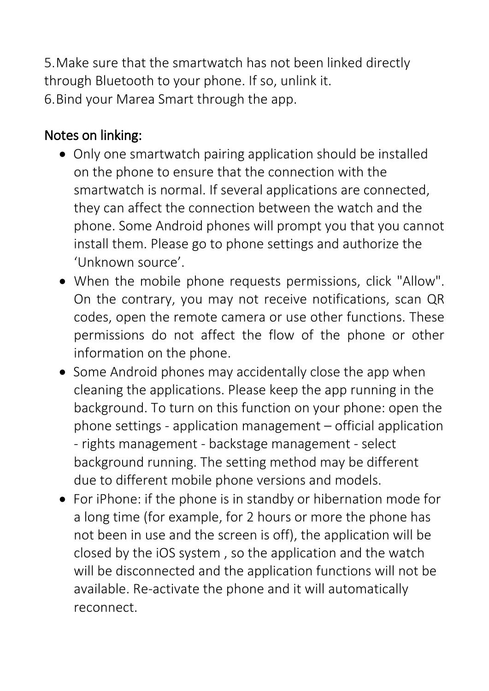5.Make sure that the smartwatch has not been linked directly through Bluetooth to your phone. If so, unlink it. 6.Bind your Marea Smart through the app.

## Notes on linking:

- Only one smartwatch pairing application should be installed on the phone to ensure that the connection with the smartwatch is normal. If several applications are connected, they can affect the connection between the watch and the phone. Some Android phones will prompt you that you cannot install them. Please go to phone settings and authorize the 'Unknown source'.
- When the mobile phone requests permissions, click "Allow". On the contrary, you may not receive notifications, scan QR codes, open the remote camera or use other functions. These permissions do not affect the flow of the phone or other information on the phone.
- Some Android phones may accidentally close the app when cleaning the applications. Please keep the app running in the background. To turn on this function on your phone: open the phone settings - application management – official application - rights management - backstage management - select background running. The setting method may be different due to different mobile phone versions and models.
- For iPhone: if the phone is in standby or hibernation mode for a long time (for example, for 2 hours or more the phone has not been in use and the screen is off), the application will be closed by the iOS system , so the application and the watch will be disconnected and the application functions will not be available. Re-activate the phone and it will automatically reconnect.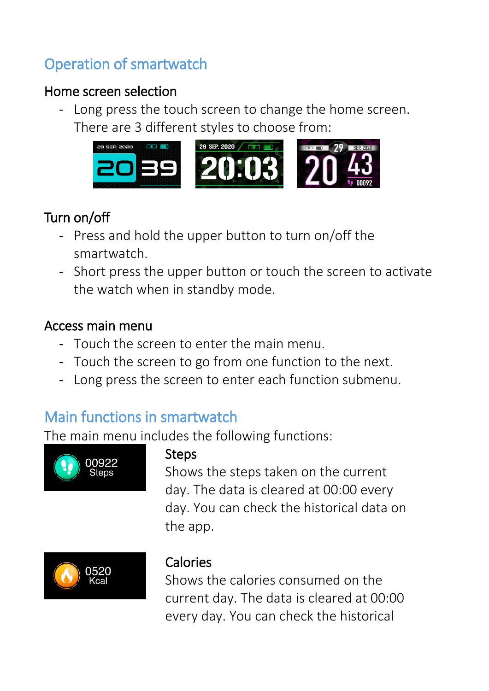# Operation of smartwatch

## Home screen selection

- Long press the touch screen to change the home screen. There are 3 different styles to choose from:



## Turn on/off

- Press and hold the upper button to turn on/off the smartwatch.
- Short press the upper button or touch the screen to activate the watch when in standby mode.

### Access main menu

- Touch the screen to enter the main menu.
- Touch the screen to go from one function to the next.
- Long press the screen to enter each function submenu.

# Main functions in smartwatch

The main menu includes the following functions:



### Steps

Shows the steps taken on the current day. The data is cleared at 00:00 every day. You can check the historical data on the app.



## Calories

Shows the calories consumed on the current day. The data is cleared at 00:00 every day. You can check the historical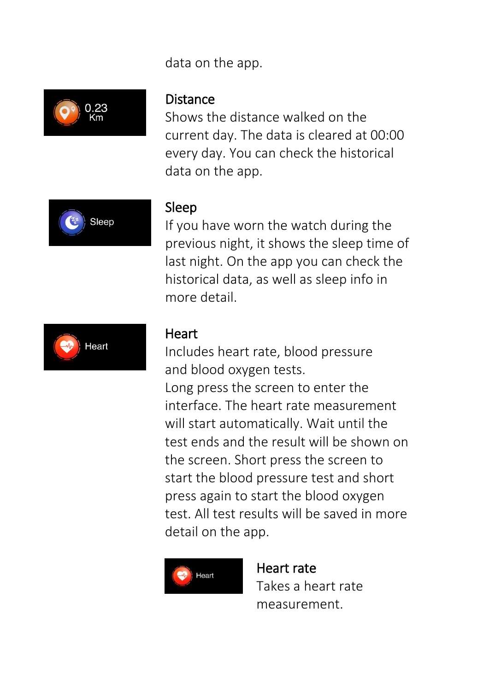### data on the app.



#### Distance

Shows the distance walked on the current day. The data is cleared at 00:00 every day. You can check the historical data on the app.



#### Sleep

If you have worn the watch during the previous night, it shows the sleep time of last night. On the app you can check the historical data, as well as sleep info in more detail.



#### **Heart**

Includes heart rate, blood pressure and blood oxygen tests. Long press the screen to enter the interface. The heart rate measurement will start automatically. Wait until the test ends and the result will be shown on the screen. Short press the screen to start the blood pressure test and short press again to start the blood oxygen test. All test results will be saved in more detail on the app.



Heart rate Takes a heart rate measurement.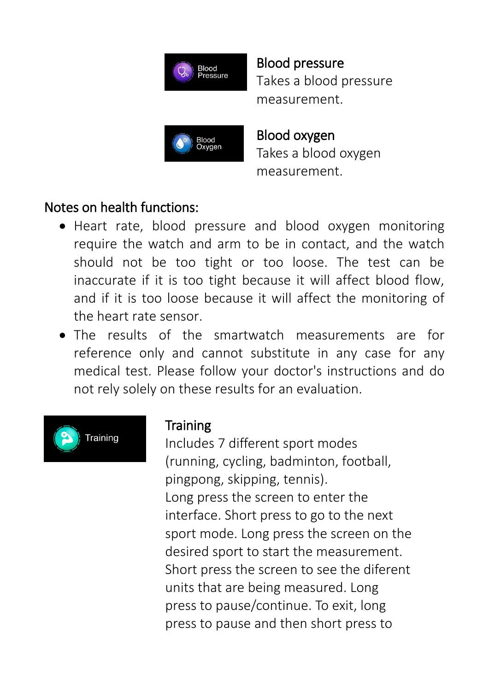

Blood pressure Takes a blood pressure measurement.



Blood oxygen Takes a blood oxygen measurement.

## Notes on health functions:

- Heart rate, blood pressure and blood oxygen monitoring require the watch and arm to be in contact, and the watch should not be too tight or too loose. The test can be inaccurate if it is too tight because it will affect blood flow, and if it is too loose because it will affect the monitoring of the heart rate sensor.
- The results of the smartwatch measurements are for reference only and cannot substitute in any case for any medical test. Please follow your doctor's instructions and do not rely solely on these results for an evaluation.



## **Training**

Includes 7 different sport modes (running, cycling, badminton, football, pingpong, skipping, tennis). Long press the screen to enter the interface. Short press to go to the next sport mode. Long press the screen on the desired sport to start the measurement. Short press the screen to see the diferent units that are being measured. Long press to pause/continue. To exit, long press to pause and then short press to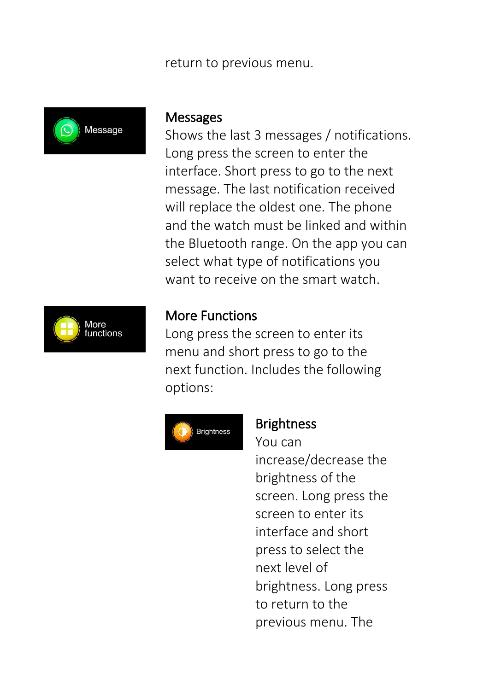#### return to previous menu.



#### **Messages**

Shows the last 3 messages / notifications. Long press the screen to enter the interface. Short press to go to the next message. The last notification received will replace the oldest one. The phone and the watch must be linked and within the Bluetooth range. On the app you can select what type of notifications you want to receive on the smart watch.



#### More Functions

Long press the screen to enter its menu and short press to go to the next function. Includes the following options:



#### Brightness

You can

increase/decrease the brightness of the screen. Long press the screen to enter its interface and short press to select the next level of brightness. Long press to return to the previous menu. The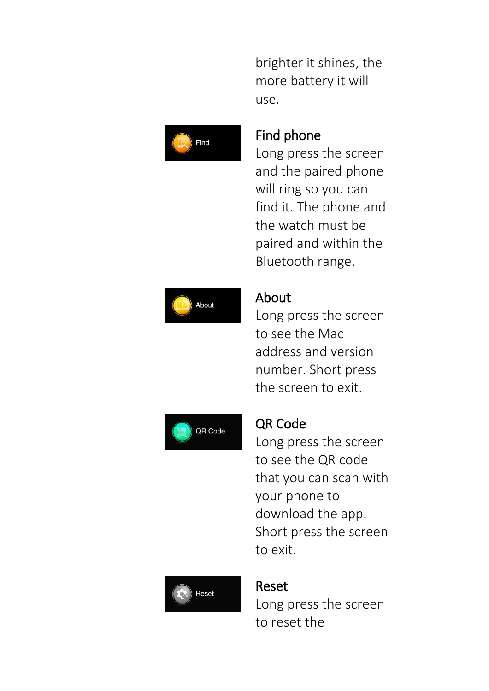brighter it shines, the more battery it will use.



### Find phone

Long press the screen and the paired phone will ring so you can find it. The phone and the watch must be paired and within the Bluetooth range.



### About

Long press the screen to see the Mac address and version number. Short press the screen to exit.



### QR Code

Long press the screen to see the QR code that you can scan with your phone to download the app. Short press the screen to exit.



### Reset

Long press the screen to reset the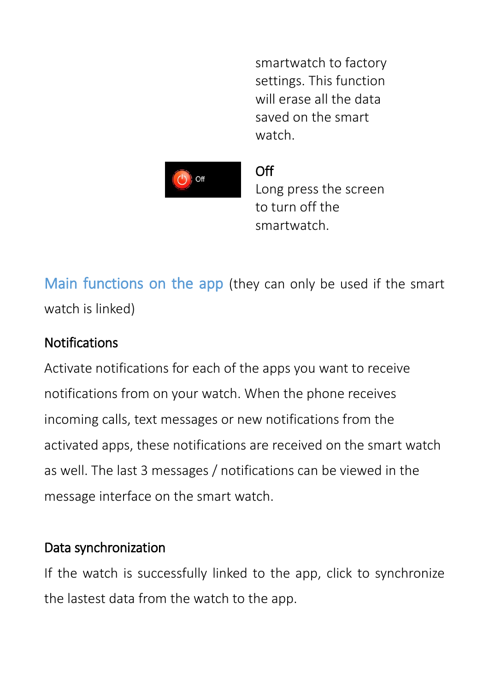smartwatch to factory settings. This function will erase all the data saved on the smart watch.



Off

Long press the screen to turn off the smartwatch.

Main functions on the app (they can only be used if the smart watch is linked)

## Notifications

Activate notifications for each of the apps you want to receive notifications from on your watch. When the phone receives incoming calls, text messages or new notifications from the activated apps, these notifications are received on the smart watch as well. The last 3 messages / notifications can be viewed in the message interface on the smart watch.

## Data synchronization

If the watch is successfully linked to the app, click to synchronize the lastest data from the watch to the app.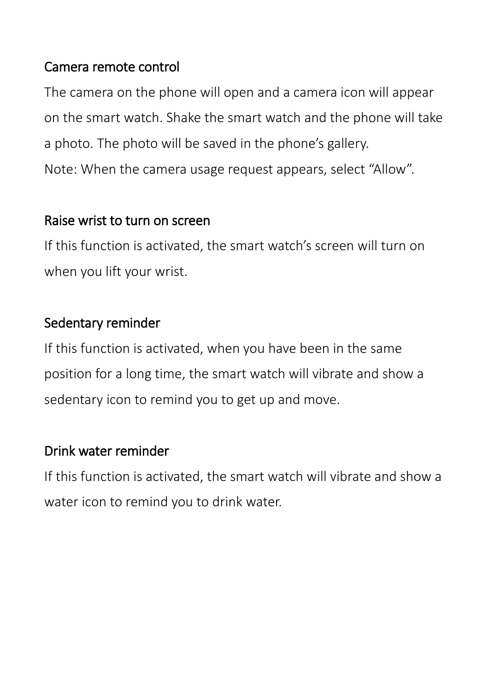### Camera remote control

The camera on the phone will open and a camera icon will appear on the smart watch. Shake the smart watch and the phone will take a photo. The photo will be saved in the phone's gallery. Note: When the camera usage request appears, select "Allow".

### Raise wrist to turn on screen

If this function is activated, the smart watch's screen will turn on when you lift your wrist.

## Sedentary reminder

If this function is activated, when you have been in the same position for a long time, the smart watch will vibrate and show a sedentary icon to remind you to get up and move.

## Drink water reminder

If this function is activated, the smart watch will vibrate and show a water icon to remind you to drink water.